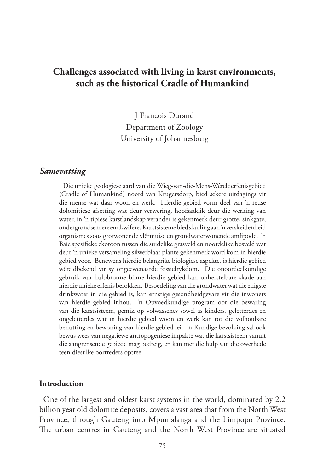# **Challenges associated with living in karst environments, such as the historical Cradle of Humankind**

J Francois Durand Department of Zoology University of Johannesburg

#### *Samevatting*

Die unieke geologiese aard van die Wieg-van-die-Mens-Wêrelderfenisgebied (Cradle of Humankind) noord van Krugersdorp, bied sekere uitdagings vir die mense wat daar woon en werk. Hierdie gebied vorm deel van 'n reuse dolomitiese afsetting wat deur verwering, hoofsaaklik deur die werking van water, in 'n tipiese karstlandskap verander is gekenmerk deur grotte, sinkgate, ondergrondse mere en akwifere. Karstsisteme bied skuiling aan 'n verskeidenheid organismes soos grotwonende vlêrmuise en grondwaterwonende amfipode. 'n Baie spesifieke ekotoon tussen die suidelike grasveld en noordelike bosveld wat deur 'n unieke versameling silwerblaar plante gekenmerk word kom in hierdie gebied voor. Benewens hierdie belangrike biologiese aspekte, is hierdie gebied wêreldbekend vir sy ongeëwenaarde fossielrykdom. Die onoordeelkundige gebruik van hulpbronne binne hierdie gebied kan onherstelbare skade aan hierdie unieke erfenis berokken. Besoedeling van die grondwater wat die enigste drinkwater in die gebied is, kan ernstige gesondheidgevare vir die inwoners van hierdie gebied inhou. 'n Opvoedkundige program oor die bewaring van die karstsisteem, gemik op volwassenes sowel as kinders, geletterdes en ongeletterdes wat in hierdie gebied woon en werk kan tot die volhoubare benutting en bewoning van hierdie gebied lei. 'n Kundige bevolking sal ook bewus wees van negatiewe antropogeniese impakte wat die karstsisteem vanuit die aangrensende gebiede mag bedreig, en kan met die hulp van die owerhede teen diesulke oortreders optree.

#### **Introduction**

One of the largest and oldest karst systems in the world, dominated by 2.2 billion year old dolomite deposits, covers a vast area that from the North West Province, through Gauteng into Mpumalanga and the Limpopo Province. The urban centres in Gauteng and the North West Province are situated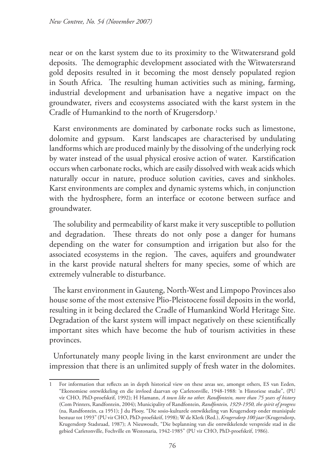near or on the karst system due to its proximity to the Witwatersrand gold deposits. The demographic development associated with the Witwatersrand gold deposits resulted in it becoming the most densely populated region in South Africa. The resulting human activities such as mining, farming, industrial development and urbanisation have a negative impact on the groundwater, rivers and ecosystems associated with the karst system in the Cradle of Humankind to the north of Krugersdorp.<sup>1</sup>

Karst environments are dominated by carbonate rocks such as limestone, dolomite and gypsum. Karst landscapes are characterised by undulating landforms which are produced mainly by the dissolving of the underlying rock by water instead of the usual physical erosive action of water. Karstification occurs when carbonate rocks, which are easily dissolved with weak acids which naturally occur in nature, produce solution cavities, caves and sinkholes. Karst environments are complex and dynamic systems which, in conjunction with the hydrosphere, form an interface or ecotone between surface and groundwater.

The solubility and permeability of karst make it very susceptible to pollution and degradation. These threats do not only pose a danger for humans depending on the water for consumption and irrigation but also for the associated ecosystems in the region. The caves, aquifers and groundwater in the karst provide natural shelters for many species, some of which are extremely vulnerable to disturbance.

The karst environment in Gauteng, North-West and Limpopo Provinces also house some of the most extensive Plio-Pleistocene fossil deposits in the world, resulting in it being declared the Cradle of Humankind World Heritage Site. Degradation of the karst system will impact negatively on these scientifically important sites which have become the hub of tourism activities in these provinces.

Unfortunately many people living in the karst environment are under the impression that there is an unlimited supply of fresh water in the dolomites.

<sup>1</sup> For information that reflects an in depth historical view on these areas see, amongst others, ES van Eeden, "Ekonomiese ontwikkeling en die invloed daarvan op Carletonville, 1948-1988: 'n Historiese studie", (PU vir CHO, PhD-proefskrif, 1992); H Hamann, *A town like no other. Randfontein, more than 75 years of history* (Com Printers, Randfontein, 2004); Municipality of Randfontein, *Randfontein, 1929-1950, the spirit of progress* (na, Randfontein, ca 1951); J du Plooy, "Die sosio-kulturele ontwikkeling van Krugersdorp onder munisipale bestuur tot 1993" (PU vir CHO, PhD-proefskrif, 1998); W de Klerk (Red.), *Krugersdorp 100 jaar* (Krugersdorp, Krugersdorp Stadsraad, 1987); A Nieuwoudt, "Die beplanning van die ontwikkelende verspreide stad in die gebied Carletonville, Fochville en Westonaria, 1942-1985" (PU vir CHO, PhD-proefskrif, 1986).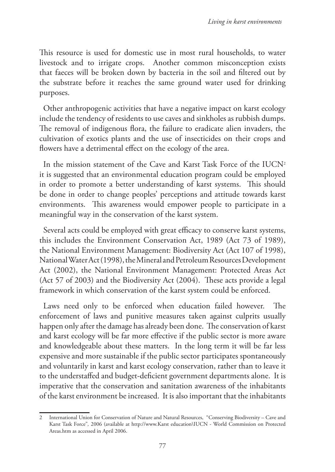This resource is used for domestic use in most rural households, to water livestock and to irrigate crops. Another common misconception exists that faeces will be broken down by bacteria in the soil and filtered out by the substrate before it reaches the same ground water used for drinking purposes.

Other anthropogenic activities that have a negative impact on karst ecology include the tendency of residents to use caves and sinkholes as rubbish dumps. The removal of indigenous flora, the failure to eradicate alien invaders, the cultivation of exotics plants and the use of insecticides on their crops and flowers have a detrimental effect on the ecology of the area.

In the mission statement of the Cave and Karst Task Force of the  $IUCN<sup>2</sup>$ it is suggested that an environmental education program could be employed in order to promote a better understanding of karst systems. This should be done in order to change peoples' perceptions and attitude towards karst environments. This awareness would empower people to participate in a meaningful way in the conservation of the karst system.

Several acts could be employed with great efficacy to conserve karst systems, this includes the Environment Conservation Act, 1989 (Act 73 of 1989), the National Environment Management: Biodiversity Act (Act 107 of 1998), National Water Act (1998), the Mineral and Petroleum Resources Development Act (2002), the National Environment Management: Protected Areas Act (Act 57 of 2003) and the Biodiversity Act (2004). These acts provide a legal framework in which conservation of the karst system could be enforced.

Laws need only to be enforced when education failed however. The enforcement of laws and punitive measures taken against culprits usually happen only after the damage has already been done. The conservation of karst and karst ecology will be far more effective if the public sector is more aware and knowledgeable about these matters. In the long term it will be far less expensive and more sustainable if the public sector participates spontaneously and voluntarily in karst and karst ecology conservation, rather than to leave it to the understaffed and budget-deficient government departments alone. It is imperative that the conservation and sanitation awareness of the inhabitants of the karst environment be increased. It is also important that the inhabitants

<sup>2</sup> International Union for Conservation of Nature and Natural Resources, "Conserving Biodiversity – Cave and Karst Task Force"*,* 2006 (available at http://www.Karst education\IUCN - World Commission on Protected Areas.htm as accessed in April 2006.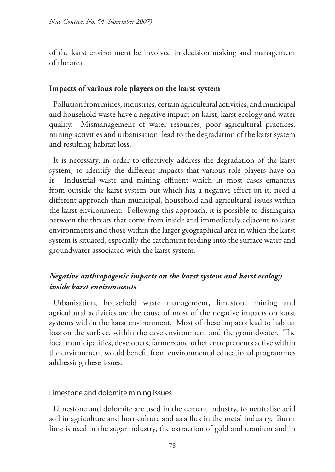of the karst environment be involved in decision making and management of the area.

## **Impacts of various role players on the karst system**

Pollution from mines, industries, certain agricultural activities, and municipal and household waste have a negative impact on karst, karst ecology and water quality. Mismanagement of water resources, poor agricultural practices, mining activities and urbanisation, lead to the degradation of the karst system and resulting habitat loss.

It is necessary, in order to effectively address the degradation of the karst system, to identify the different impacts that various role players have on it. Industrial waste and mining effluent which in most cases emanates from outside the karst system but which has a negative effect on it, need a different approach than municipal, household and agricultural issues within the karst environment. Following this approach, it is possible to distinguish between the threats that come from inside and immediately adjacent to karst environments and those within the larger geographical area in which the karst system is situated, especially the catchment feeding into the surface water and groundwater associated with the karst system.

# *Negative anthropogenic impacts on the karst system and karst ecology inside karst environments*

Urbanisation, household waste management, limestone mining and agricultural activities are the cause of most of the negative impacts on karst systems within the karst environment. Most of these impacts lead to habitat loss on the surface, within the cave environment and the groundwater. The local municipalities, developers, farmers and other entrepreneurs active within the environment would benefit from environmental educational programmes addressing these issues.

### Limestone and dolomite mining issues

Limestone and dolomite are used in the cement industry, to neutralise acid soil in agriculture and horticulture and as a flux in the metal industry. Burnt lime is used in the sugar industry, the extraction of gold and uranium and in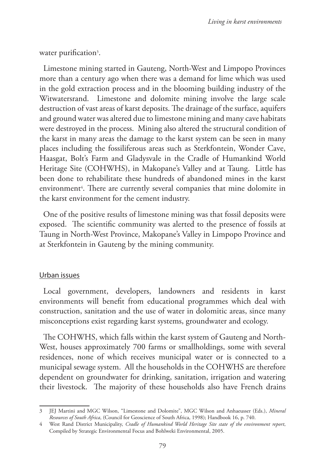water purification<sup>3</sup>.

Limestone mining started in Gauteng, North-West and Limpopo Provinces more than a century ago when there was a demand for lime which was used in the gold extraction process and in the blooming building industry of the Witwatersrand. Limestone and dolomite mining involve the large scale destruction of vast areas of karst deposits. The drainage of the surface, aquifers and ground water was altered due to limestone mining and many cave habitats were destroyed in the process. Mining also altered the structural condition of the karst in many areas the damage to the karst system can be seen in many places including the fossiliferous areas such as Sterkfontein, Wonder Cave, Haasgat, Bolt's Farm and Gladysvale in the Cradle of Humankind World Heritage Site (COHWHS), in Makopane's Valley and at Taung. Little has been done to rehabilitate these hundreds of abandoned mines in the karst environment4 . There are currently several companies that mine dolomite in the karst environment for the cement industry.

One of the positive results of limestone mining was that fossil deposits were exposed. The scientific community was alerted to the presence of fossils at Taung in North-West Province, Makopane's Valley in Limpopo Province and at Sterkfontein in Gauteng by the mining community.

### Urban issues

Local government, developers, landowners and residents in karst environments will benefit from educational programmes which deal with construction, sanitation and the use of water in dolomitic areas, since many misconceptions exist regarding karst systems, groundwater and ecology.

The COHWHS, which falls within the karst system of Gauteng and North-West, houses approximately 700 farms or smallholdings, some with several residences, none of which receives municipal water or is connected to a municipal sewage system. All the households in the COHWHS are therefore dependent on groundwater for drinking, sanitation, irrigation and watering their livestock. The majority of these households also have French drains

<sup>3</sup> JEJ Martini and MGC Wilson, "Limestone and Dolomite", MGC Wilson and Anhaeusser (Eds.), *Mineral Resources of South Africa*, (Council for Geoscience of South Africa, 1998); Handbook 16, p. 740.

<sup>4</sup> West Rand District Municipality, *Cradle of Humankind World Heritage Site state of the environment report*, Compiled by Strategic Environmental Focus and Bohlweki Environmental, 2005.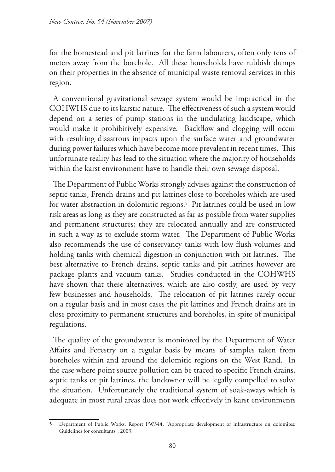for the homestead and pit latrines for the farm labourers, often only tens of meters away from the borehole. All these households have rubbish dumps on their properties in the absence of municipal waste removal services in this region.

A conventional gravitational sewage system would be impractical in the COHWHS due to its karstic nature. The effectiveness of such a system would depend on a series of pump stations in the undulating landscape, which would make it prohibitively expensive. Backflow and clogging will occur with resulting disastrous impacts upon the surface water and groundwater during power failures which have become more prevalent in recent times. This unfortunate reality has lead to the situation where the majority of households within the karst environment have to handle their own sewage disposal.

The Department of Public Works strongly advises against the construction of septic tanks, French drains and pit latrines close to boreholes which are used for water abstraction in dolomitic regions.5 Pit latrines could be used in low risk areas as long as they are constructed as far as possible from water supplies and permanent structures; they are relocated annually and are constructed in such a way as to exclude storm water. The Department of Public Works also recommends the use of conservancy tanks with low flush volumes and holding tanks with chemical digestion in conjunction with pit latrines. The best alternative to French drains, septic tanks and pit latrines however are package plants and vacuum tanks. Studies conducted in the COHWHS have shown that these alternatives, which are also costly, are used by very few businesses and households. The relocation of pit latrines rarely occur on a regular basis and in most cases the pit latrines and French drains are in close proximity to permanent structures and boreholes, in spite of municipal regulations.

The quality of the groundwater is monitored by the Department of Water Affairs and Forestry on a regular basis by means of samples taken from boreholes within and around the dolomitic regions on the West Rand. In the case where point source pollution can be traced to specific French drains, septic tanks or pit latrines, the landowner will be legally compelled to solve the situation. Unfortunately the traditional system of soak-aways which is adequate in most rural areas does not work effectively in karst environments

<sup>5</sup> Department of Public Works, Report PW344, "Appropriate development of infrastructure on dolomites: Guidelines for consultants", 2003.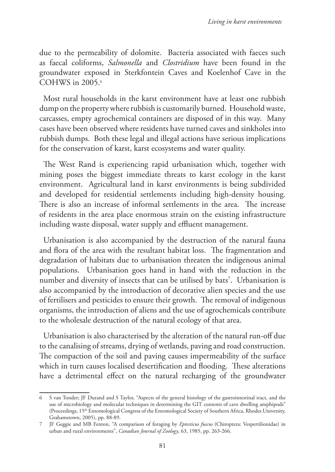due to the permeability of dolomite. Bacteria associated with faeces such as faecal coliforms, *Salmonella* and *Clostridium* have been found in the groundwater exposed in Sterkfontein Caves and Koelenhof Cave in the COHWS in 2005.6

Most rural households in the karst environment have at least one rubbish dump on the property where rubbish is customarily burned. Household waste, carcasses, empty agrochemical containers are disposed of in this way. Many cases have been observed where residents have turned caves and sinkholes into rubbish dumps. Both these legal and illegal actions have serious implications for the conservation of karst, karst ecosystems and water quality.

The West Rand is experiencing rapid urbanisation which, together with mining poses the biggest immediate threats to karst ecology in the karst environment. Agricultural land in karst environments is being subdivided and developed for residential settlements including high-density housing. There is also an increase of informal settlements in the area. The increase of residents in the area place enormous strain on the existing infrastructure including waste disposal, water supply and effluent management.

Urbanisation is also accompanied by the destruction of the natural fauna and flora of the area with the resultant habitat loss. The fragmentation and degradation of habitats due to urbanisation threaten the indigenous animal populations. Urbanisation goes hand in hand with the reduction in the number and diversity of insects that can be utilised by bats<sup>7</sup>. Urbanisation is also accompanied by the introduction of decorative alien species and the use of fertilisers and pesticides to ensure their growth. The removal of indigenous organisms, the introduction of aliens and the use of agrochemicals contribute to the wholesale destruction of the natural ecology of that area.

Urbanisation is also characterised by the alteration of the natural run-off due to the canalising of streams, drying of wetlands, paving and road construction. The compaction of the soil and paving causes impermeability of the surface which in turn causes localised desertification and flooding. These alterations have a detrimental effect on the natural recharging of the groundwater

<sup>6</sup> S van Tonder; JF Durand and S Taylor, "Aspects of the general histology of the gastrointestinal tract, and the use of microbiology and molecular techniques in determining the GIT contents of cave dwelling amphipods" (Proceedings, 15th Entomological Congress of the Entomological Society of Southern Africa, Rhodes University, Grahamstown, 2005), pp. 88-89.

<sup>7</sup> JF Geggie and MB Fenton, "A comparison of foraging by *Eptesticus fuscus* (Chiroptera: Vespertilionidae) in urban and rural environments", *Canadian Journal of Zoology*, 63, 1985, pp. 263-266.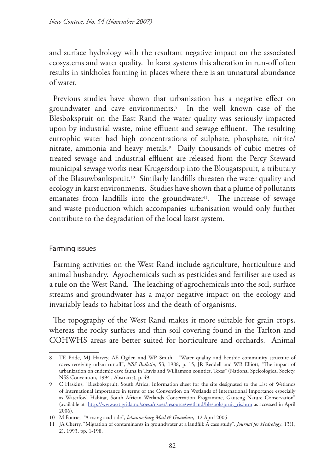and surface hydrology with the resultant negative impact on the associated ecosystems and water quality. In karst systems this alteration in run-off often results in sinkholes forming in places where there is an unnatural abundance of water.

Previous studies have shown that urbanisation has a negative effect on groundwater and cave environments.8 In the well known case of the Blesbokspruit on the East Rand the water quality was seriously impacted upon by industrial waste, mine effluent and sewage effluent. The resulting eutrophic water had high concentrations of sulphate, phosphate, nitrite/ nitrate, ammonia and heavy metals.9 Daily thousands of cubic metres of treated sewage and industrial effluent are released from the Percy Steward municipal sewage works near Krugersdorp into the Blougatspruit, a tributary of the Blaauwbankspruit.10 Similarly landfills threaten the water quality and ecology in karst environments. Studies have shown that a plume of pollutants emanates from landfills into the groundwater<sup>11</sup>. The increase of sewage and waste production which accompanies urbanisation would only further contribute to the degradation of the local karst system.

### Farming issues

Farming activities on the West Rand include agriculture, horticulture and animal husbandry. Agrochemicals such as pesticides and fertiliser are used as a rule on the West Rand. The leaching of agrochemicals into the soil, surface streams and groundwater has a major negative impact on the ecology and invariably leads to habitat loss and the death of organisms.

The topography of the West Rand makes it more suitable for grain crops, whereas the rocky surfaces and thin soil covering found in the Tarlton and COHWHS areas are better suited for horticulture and orchards. Animal

<sup>8</sup> TE Pride, MJ Harvey, AE Ogden and WP Smith, "Water quality and benthic community structure of caves receiving urban runoff", *NSS Bulletin*, 53, 1988, p. 15; JR Reddell and WR Elliott, "The impact of urbanization on endemic cave fauna in Travis and Williamson counties, Texas" (National Speleological Society, NSS Convention, 1994 , Abstracts), p. 49.

<sup>9</sup> C Haskins, "Blesbokspruit, South Africa, Information sheet for the site designated to the List of Wetlands of International Importance in terms of the Convention on Wetlands of International Importance especially as Waterfowl Habitat, South African Wetlands Conservation Programme, Gauteng Nature Conservation" (available at http://www.ext.grida.no/soesa/nsoer/resource/wetland/blesbokspruit\_ris.htm as accessed in April 2006).

<sup>10</sup> M Fourie, "A rising acid tide", *Johannesburg Mail & Guardian*, 12 April 2005.

<sup>11</sup> JA Cherry, "Migration of contaminants in groundwater at a landfill: A case study"*, Journal for Hydrology*, 13(1, 2), 1993, pp. 1-198.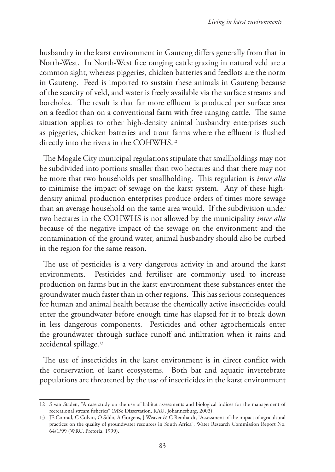husbandry in the karst environment in Gauteng differs generally from that in North-West. In North-West free ranging cattle grazing in natural veld are a common sight, whereas piggeries, chicken batteries and feedlots are the norm in Gauteng. Feed is imported to sustain these animals in Gauteng because of the scarcity of veld, and water is freely available via the surface streams and boreholes. The result is that far more effluent is produced per surface area on a feedlot than on a conventional farm with free ranging cattle. The same situation applies to other high-density animal husbandry enterprises such as piggeries, chicken batteries and trout farms where the effluent is flushed directly into the rivers in the COHWHS.12

The Mogale City municipal regulations stipulate that smallholdings may not be subdivided into portions smaller than two hectares and that there may not be more that two households per smallholding. This regulation is *inter alia* to minimise the impact of sewage on the karst system. Any of these highdensity animal production enterprises produce orders of times more sewage than an average household on the same area would. If the subdivision under two hectares in the COHWHS is not allowed by the municipality *inter alia* because of the negative impact of the sewage on the environment and the contamination of the ground water, animal husbandry should also be curbed in the region for the same reason.

The use of pesticides is a very dangerous activity in and around the karst environments. Pesticides and fertiliser are commonly used to increase production on farms but in the karst environment these substances enter the groundwater much faster than in other regions. This has serious consequences for human and animal health because the chemically active insecticides could enter the groundwater before enough time has elapsed for it to break down in less dangerous components. Pesticides and other agrochemicals enter the groundwater through surface runoff and infiltration when it rains and accidental spillage.13

The use of insecticides in the karst environment is in direct conflict with the conservation of karst ecosystems. Both bat and aquatic invertebrate populations are threatened by the use of insecticides in the karst environment

<sup>12</sup> S van Staden, "A case study on the use of habitat assessments and biological indices for the management of recreational stream fisheries" (MSc Dissertation, RAU, Johannesburg, 2003).

<sup>13</sup> JE Conrad, C Colvin, O Sililo, A Görgens, J Weaver & C Reinhardt, "Assessment of the impact of agricultural practices on the quality of groundwater resources in South Africa", Water Research Commission Report No. 64/1/99 (WRC, Pretoria, 1999).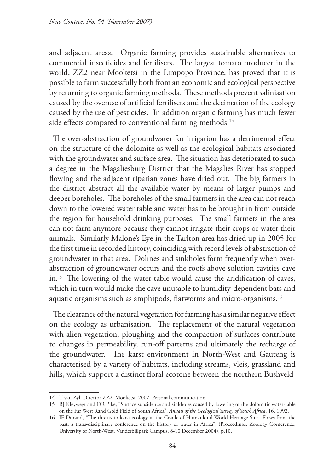and adjacent areas. Organic farming provides sustainable alternatives to commercial insecticides and fertilisers. The largest tomato producer in the world, ZZ2 near Mooketsi in the Limpopo Province, has proved that it is possible to farm successfully both from an economic and ecological perspective by returning to organic farming methods. These methods prevent salinisation caused by the overuse of artificial fertilisers and the decimation of the ecology caused by the use of pesticides. In addition organic farming has much fewer side effects compared to conventional farming methods.<sup>14</sup>

The over-abstraction of groundwater for irrigation has a detrimental effect on the structure of the dolomite as well as the ecological habitats associated with the groundwater and surface area. The situation has deteriorated to such a degree in the Magaliesburg District that the Magalies River has stopped flowing and the adjacent riparian zones have dried out. The big farmers in the district abstract all the available water by means of larger pumps and deeper boreholes. The boreholes of the small farmers in the area can not reach down to the lowered water table and water has to be brought in from outside the region for household drinking purposes. The small farmers in the area can not farm anymore because they cannot irrigate their crops or water their animals. Similarly Malone's Eye in the Tarlton area has dried up in 2005 for the first time in recorded history, coinciding with record levels of abstraction of groundwater in that area. Dolines and sinkholes form frequently when overabstraction of groundwater occurs and the roofs above solution cavities cave in.15 The lowering of the water table would cause the aridification of caves, which in turn would make the cave unusable to humidity-dependent bats and aquatic organisms such as amphipods, flatworms and micro-organisms.16

The clearance of the natural vegetation for farming has a similar negative effect on the ecology as urbanisation. The replacement of the natural vegetation with alien vegetation, ploughing and the compaction of surfaces contribute to changes in permeability, run-off patterns and ultimately the recharge of the groundwater. The karst environment in North-West and Gauteng is characterised by a variety of habitats, including streams, vleis, grassland and hills, which support a distinct floral ecotone between the northern Bushveld

<sup>14</sup> T van Zyl, Director ZZ2, Mooketsi, 2007. Personal communication.

<sup>15</sup> RJ Kleywegt and DR Pike, "Surface subsidence and sinkholes caused by lowering of the dolomitic water-table on the Far West Rand Gold Field of South Africa", *Annals of the Geological Survey of South Africa*, 16, 1992.

<sup>16</sup> JF Durand, "The threats to karst ecology in the Cradle of Humankind World Heritage Site. Flows from the past: a trans-disciplinary conference on the history of water in Africa", (Proceedings, Zoology Conference, University of North-West, Vanderbijlpark Campus, 8-10 December 2004), p.10.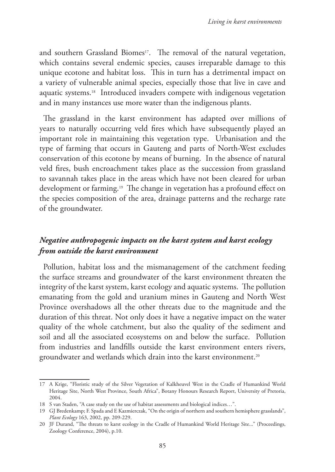and southern Grassland Biomes<sup>17</sup>. The removal of the natural vegetation, which contains several endemic species, causes irreparable damage to this unique ecotone and habitat loss. This in turn has a detrimental impact on a variety of vulnerable animal species, especially those that live in cave and aquatic systems.18 Introduced invaders compete with indigenous vegetation and in many instances use more water than the indigenous plants.

The grassland in the karst environment has adapted over millions of years to naturally occurring veld fires which have subsequently played an important role in maintaining this vegetation type. Urbanisation and the type of farming that occurs in Gauteng and parts of North-West excludes conservation of this ecotone by means of burning. In the absence of natural veld fires, bush encroachment takes place as the succession from grassland to savannah takes place in the areas which have not been cleared for urban development or farming.19 The change in vegetation has a profound effect on the species composition of the area, drainage patterns and the recharge rate of the groundwater.

## *Negative anthropogenic impacts on the karst system and karst ecology from outside the karst environment*

Pollution, habitat loss and the mismanagement of the catchment feeding the surface streams and groundwater of the karst environment threaten the integrity of the karst system, karst ecology and aquatic systems. The pollution emanating from the gold and uranium mines in Gauteng and North West Province overshadows all the other threats due to the magnitude and the duration of this threat. Not only does it have a negative impact on the water quality of the whole catchment, but also the quality of the sediment and soil and all the associated ecosystems on and below the surface. Pollution from industries and landfills outside the karst environment enters rivers, groundwater and wetlands which drain into the karst environment.20

<sup>17</sup> A Krige, "Floristic study of the Silver Vegetation of Kalkheuvel West in the Cradle of Humankind World Heritage Site, North West Province, South Africa", Botany Honours Research Report, University of Pretoria, 2004.

<sup>18</sup> S van Staden, "A case study on the use of habitat assessments and biological indices…".

<sup>19</sup> GJ Bredenkamp; F. Spada and E Kazmierczak, "On the origin of northern and southern hemisphere grasslands", *Plant Ecology* 163, 2002, pp. 209-229.

<sup>20</sup> JF Durand, "The threats to karst ecology in the Cradle of Humankind World Heritage Site..." (Proceedings, Zoology Conference, 2004), p.10.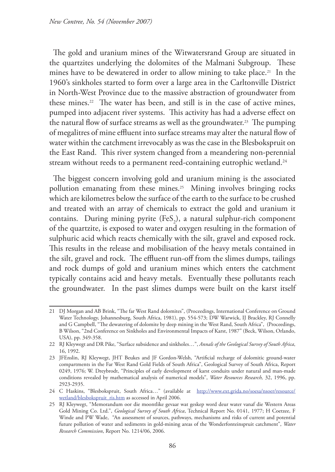The gold and uranium mines of the Witwatersrand Group are situated in the quartzites underlying the dolomites of the Malmani Subgroup. These mines have to be dewatered in order to allow mining to take place.21 In the 1960's sinkholes started to form over a large area in the Carltonville District in North-West Province due to the massive abstraction of groundwater from these mines.<sup>22</sup> The water has been, and still is in the case of active mines, pumped into adjacent river systems. This activity has had a adverse effect on the natural flow of surface streams as well as the groundwater.<sup>23</sup> The pumping of megalitres of mine effluent into surface streams may alter the natural flow of water within the catchment irrevocably as was the case in the Blesbokspruit on the East Rand. This river system changed from a meandering non-perennial stream without reeds to a permanent reed-containing eutrophic wetland.<sup>24</sup>

The biggest concern involving gold and uranium mining is the associated pollution emanating from these mines.<sup>25</sup> Mining involves bringing rocks which are kilometres below the surface of the earth to the surface to be crushed and treated with an array of chemicals to extract the gold and uranium it contains. During mining pyrite  $(FeS_2)$ , a natural sulphur-rich component of the quartzite, is exposed to water and oxygen resulting in the formation of sulphuric acid which reacts chemically with the silt, gravel and exposed rock. This results in the release and mobilisation of the heavy metals contained in the silt, gravel and rock. The effluent run-off from the slimes dumps, tailings and rock dumps of gold and uranium mines which enters the catchment typically contains acid and heavy metals. Eventually these pollutants reach the groundwater. In the past slimes dumps were built on the karst itself

<sup>21</sup> DJ Morgan and AB Brink, "The far West Rand dolomites", (Proceedings, International Conference on Ground Water Technology, Johannesburg, South Africa, 1981), pp. 554-573; DW Warwick, IJ Brackley, RJ Connelly and G Campbell, "The dewatering of dolomite by deep mining in the West Rand, South Africa", (Proceedings, B Wilson, "2nd Conference on Sinkholes and Environmental Impacts of Karst, 1987" (Beck, Wilson, Orlando, USA), pp. 349-358.

<sup>22</sup> RJ Kleywegt and DR Pike, "Surface subsidence and sinkholes…", *Annals of the Geological Survey of South Africa*, 16, 1992.

<sup>23</sup> JFEnslin, RJ Kleywegt, JHT Beukes and JF Gordon-Welsh, "Artificial recharge of dolomitic ground-water compartments in the Far West Rand Gold Fields of South Africa", Geological Survey of South Africa, Report 0249, 1976; W. Dreybrodt, "Principles of early development of karst conduits under natural and man-made conditions revealed by mathematical analysis of numerical models", *Water Resources Research,* 32, 1996, pp. 2923-2935.

<sup>24</sup> C Haskins, "Blesbokspruit, South Africa…" (available at http://www.ext.grida.no/soesa/nsoer/resource/ wetland/blesbokspruit\_ris.htm as accessed in April 2006.

<sup>25</sup> RJ Kleywegt, "Memorandum oor die moontlike gevaar wat geskep word deur water vanaf die Western Areas Gold Mining Co. Ltd.", *Geological Survey of South Africa*, Technical Report No. 0141, 1977; H Coetzee, F Winde and PW Wade, "An assessment of sources, pathways, mechanisms and risks of current and potential future pollution of water and sediments in gold-mining areas of the Wonderfonteinspruit catchment", *Water Research Commission*, Report No. 1214/06, 2006.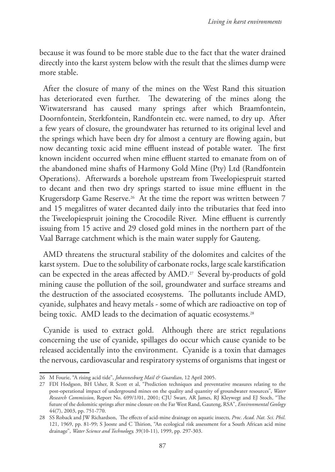because it was found to be more stable due to the fact that the water drained directly into the karst system below with the result that the slimes dump were more stable.

After the closure of many of the mines on the West Rand this situation has deteriorated even further. The dewatering of the mines along the Witwatersrand has caused many springs after which Braamfontein, Doornfontein, Sterkfontein, Randfontein etc. were named, to dry up. After a few years of closure, the groundwater has returned to its original level and the springs which have been dry for almost a century are flowing again, but now decanting toxic acid mine effluent instead of potable water. The first known incident occurred when mine effluent started to emanate from on of the abandoned mine shafts of Harmony Gold Mine (Pty) Ltd (Randfontein Operations). Afterwards a borehole upstream from Tweelopiespruit started to decant and then two dry springs started to issue mine effluent in the Krugersdorp Game Reserve.<sup>26</sup> At the time the report was written between 7 and 15 megalitres of water decanted daily into the tributaries that feed into the Tweelopiespruit joining the Crocodile River. Mine effluent is currently issuing from 15 active and 29 closed gold mines in the northern part of the Vaal Barrage catchment which is the main water supply for Gauteng.

AMD threatens the structural stability of the dolomites and calcites of the karst system. Due to the solubility of carbonate rocks, large scale karstification can be expected in the areas affected by AMD.27 Several by-products of gold mining cause the pollution of the soil, groundwater and surface streams and the destruction of the associated ecosystems. The pollutants include AMD, cyanide, sulphates and heavy metals - some of which are radioactive on top of being toxic. AMD leads to the decimation of aquatic ecosystems.<sup>28</sup>

Cyanide is used to extract gold. Although there are strict regulations concerning the use of cyanide, spillages do occur which cause cyanide to be released accidentally into the environment. Cyanide is a toxin that damages the nervous, cardiovascular and respiratory systems of organisms that ingest or

<sup>26</sup> M Fourie, "A rising acid tide", *Johannesburg Mail & Guardian*, 12 April 2005.

<sup>27</sup> FDI Hodgson, BH Usher, R Scott et al, "Prediction techniques and preventative measures relating to the post-operational impact of underground mines on the quality and quantity of groundwater resources", *Water Research Commission*, Report No. 699/1/01, 2001; CJU Swart, AR James, RJ Kleywegt and EJ Stoch, "The future of the dolomitic springs after mine closure on the Far West Rand, Gauteng, RSA", *Environmental Geology* 44(7), 2003, pp. 751-770.

<sup>28</sup> SS Roback and JW Richardson, The effects of acid-mine drainage on aquatic insects*, Proc. Acad. Nat. Sci. Phil*. 121, 1969, pp. 81-99; S Jooste and C Thirion, "An ecological risk assessment for a South African acid mine drainage", *Water Science and Technology,* 39(10-11), 1999, pp. 297-303.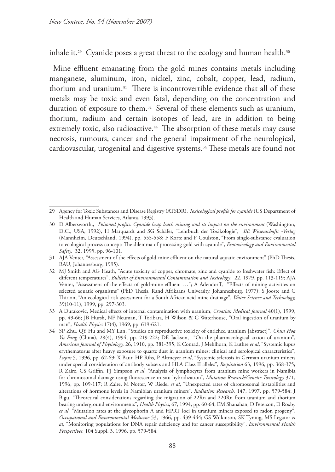inhale it.<sup>29</sup> Cyanide poses a great threat to the ecology and human health.<sup>30</sup>

Mine effluent emanating from the gold mines contains metals including manganese, aluminum, iron, nickel, zinc, cobalt, copper, lead, radium, thorium and uranium.31 There is incontrovertible evidence that all of these metals may be toxic and even fatal, depending on the concentration and duration of exposure to them.<sup>32</sup> Several of these elements such as uranium, thorium, radium and certain isotopes of lead, are in addition to being extremely toxic, also radioactive.<sup>33</sup> The absorption of these metals may cause necrosis, tumours, cancer and the general impairment of the neurological, cardiovascular, urogenital and digestive systems.34 These metals are found not

<sup>29</sup> Agency for Toxic Substances and Disease Registry (ATSDR), *Toxicological profile for cyanide* (US Department of Health and Human Services, Atlanta, 1993).

<sup>30</sup> D Albersworth,, *Poisoned profits: Cyanide heap leach mining and its impact on the environment* (Washington, D.C., USA, 1992); H Marquardt and SG Schäfer, "Lehrbuch der Toxikologie"*, BE Wissenschafts -Verlag* (Mannheim, Deutschland, 1994), pp. 555-558; F Korte and F Coulston, "From single-substance evaluation to ecological process concept: The dilemma of processing gold with cyanide", *Ecotoxicology and Environmental Safety,* 32, 1995, pp. 96-101.

<sup>31</sup> AJA Venter, "Assessment of the effects of gold-mine effluent on the natural aquatic environment" (PhD Thesis, RAU, Johannesburg, 1995).

<sup>32</sup> MJ Smith and AG Heath, "Acute toxicity of copper, chromate, zinc and cyanide to freshwater fish: Effect of different temperatures", *Bulletin of Environmental Contamination and Toxicology*, 22, 1979, pp. 113-119; AJA Venter, "Assessment of the effects of gold-mine effluent …"; A Adendorff, "Effects of mining activities on selected aquatic organisms" (PhD Thesis, Rand Afrikaans University, Johannesburg, 1977); S Jooste and C Thirion, "An ecological risk assessment for a South African acid mine drainage", *Water Science and Technology,* 39(10-11), 1999, pp. 297-303.

<sup>33</sup> A Durakovic, Medical effects of internal contamination with uranium, *Croatian Medical Journal* 40(1), 1999, pp. 49-66; JB Hursh, NF Neuman, T Toribara, H Wilson & C Waterhouse, "Oral ingestion of uranium by man", *Health Physics* 17(4), 1969, pp. 619-621.

<sup>34</sup> SP Zhu, QY Hu and MY Lun, "Studies on reproductive toxicity of enriched uranium [abstract]", *Chun Hoa Yu Fang* (China), 28(4), 1994, pp. 219-222; DE Jackson, "On the pharmacological action of uranium", *American Journal of Physiology,* 26, 1910, pp. 381-395; K Conrad, J Mehlhorn, K Luthre *et al*, "Systemic lupus erythematosus after heavy exposure to quartz dust in uranium mines: clinical and serological characteristics", *Lupus* 5, 1996, pp. 62-69; X Baur, HP Rihs, P Altmeyer *et al*, "Systemic sclerosis in German uranium miners under special consideration of antibody subsets and HLA Class II alleles", *Respiration* 63, 1996, pp. 368-375; R Zaire, CS Griffin, PJ Simpson *et al*, "Analysis of lymphocytes from uranium mine workers in Namibia for chromosomal damage using fluorescence in situ hybridization", *Mutation Research/Genetic Toxicology* 371, 1996, pp. 109-117; R Zaire, M Notter, W Riedel *et al*, "Unexpected rates of chromosomal instabilities and alterations of hormone levels in Namibian uranium miners"*, Radiation Research,* 147, 1997, pp. 579-584; J Bigu, "Theoretical considerations regarding the migration of 22Rn and 220Rn from uranium and thorium bearing underground environments", *Health Physics*, 67, 1994, pp. 60-64; EM Shanahan, D Peterson, D Roxby *et al*. "Mutation rates at the glycophorin A and HPRT loci in uranium miners exposed to radon progeny", *Occupational and Environmental Medicine* 53, 1966, pp. 439-444; GS Wilkinson, SK Tyning, MS Legator *et al*, "Monitoring populations for DNA repair deficiency and for cancer susceptibility", *Environmental Health Perspectives,* 104 Suppl. 3, 1996, pp. 579-584.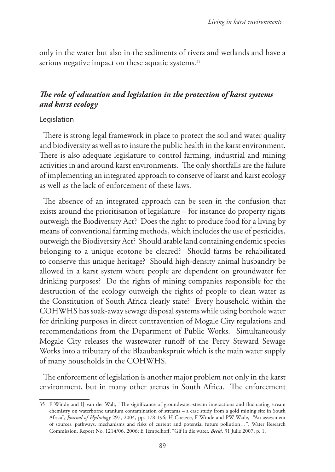only in the water but also in the sediments of rivers and wetlands and have a serious negative impact on these aquatic systems.<sup>35</sup>

## *The role of education and legislation in the protection of karst systems and karst ecology*

#### Legislation

There is strong legal framework in place to protect the soil and water quality and biodiversity as well as to insure the public health in the karst environment. There is also adequate legislature to control farming, industrial and mining activities in and around karst environments. The only shortfalls are the failure of implementing an integrated approach to conserve of karst and karst ecology as well as the lack of enforcement of these laws.

The absence of an integrated approach can be seen in the confusion that exists around the prioritisation of legislature – for instance do property rights outweigh the Biodiversity Act? Does the right to produce food for a living by means of conventional farming methods, which includes the use of pesticides, outweigh the Biodiversity Act? Should arable land containing endemic species belonging to a unique ecotone be cleared? Should farms be rehabilitated to conserve this unique heritage? Should high-density animal husbandry be allowed in a karst system where people are dependent on groundwater for drinking purposes? Do the rights of mining companies responsible for the destruction of the ecology outweigh the rights of people to clean water as the Constitution of South Africa clearly state? Every household within the COHWHS has soak-away sewage disposal systems while using borehole water for drinking purposes in direct contravention of Mogale City regulations and recommendations from the Department of Public Works. Simultaneously Mogale City releases the wastewater runoff of the Percy Steward Sewage Works into a tributary of the Blaaubankspruit which is the main water supply of many households in the COHWHS.

The enforcement of legislation is another major problem not only in the karst environment, but in many other arenas in South Africa. The enforcement

<sup>35</sup> F Winde and IJ van der Walt, "The significance of groundwater-stream interactions and fluctuating stream chemistry on waterborne uranium contamination of streams – a case study from a gold mining site in South Africa"*, Journal of Hydrology* 297, 2004, pp. 178-196; H Coetzee, F Winde and PW Wade, "An assessment of sources, pathways, mechanisms and risks of current and potential future pollution…", Water Research Commission, Report No. 1214/06, 2006; E Tempelhoff, "Gif in die water. *Beeld*, 31 Julie 2007, p. 1.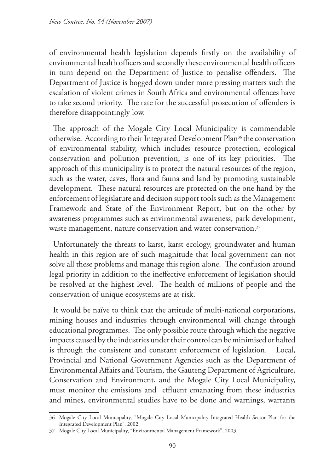of environmental health legislation depends firstly on the availability of environmental health officers and secondly these environmental health officers in turn depend on the Department of Justice to penalise offenders. The Department of Justice is bogged down under more pressing matters such the escalation of violent crimes in South Africa and environmental offences have to take second priority. The rate for the successful prosecution of offenders is therefore disappointingly low.

The approach of the Mogale City Local Municipality is commendable otherwise. According to their Integrated Development Plan<sup>36</sup> the conservation of environmental stability, which includes resource protection, ecological conservation and pollution prevention, is one of its key priorities. The approach of this municipality is to protect the natural resources of the region, such as the water, caves, flora and fauna and land by promoting sustainable development. These natural resources are protected on the one hand by the enforcement of legislature and decision support tools such as the Management Framework and State of the Environment Report, but on the other by awareness programmes such as environmental awareness, park development, waste management, nature conservation and water conservation.<sup>37</sup>

Unfortunately the threats to karst, karst ecology, groundwater and human health in this region are of such magnitude that local government can not solve all these problems and manage this region alone. The confusion around legal priority in addition to the ineffective enforcement of legislation should be resolved at the highest level. The health of millions of people and the conservation of unique ecosystems are at risk.

It would be naïve to think that the attitude of multi-national corporations, mining houses and industries through environmental will change through educational programmes. The only possible route through which the negative impacts caused by the industries under their control can be minimised or halted is through the consistent and constant enforcement of legislation. Local, Provincial and National Government Agencies such as the Department of Environmental Affairs and Tourism, the Gauteng Department of Agriculture, Conservation and Environment, and the Mogale City Local Municipality, must monitor the emissions and effluent emanating from these industries and mines, environmental studies have to be done and warnings, warrants

<sup>36</sup> Mogale City Local Municipality, "Mogale City Local Municipality Integrated Health Sector Plan for the Integrated Development Plan", 2002.

<sup>37</sup> Mogale City Local Municipality, "Environmental Management Framework", 2003.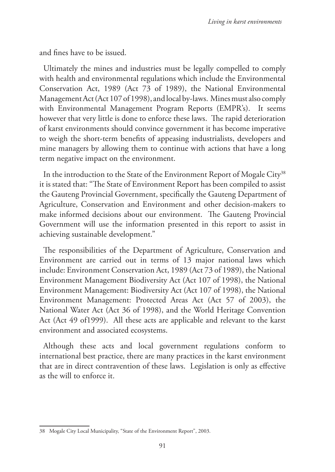and fines have to be issued.

Ultimately the mines and industries must be legally compelled to comply with health and environmental regulations which include the Environmental Conservation Act, 1989 (Act 73 of 1989), the National Environmental Management Act (Act 107 of 1998), and local by-laws. Mines must also comply with Environmental Management Program Reports (EMPR's). It seems however that very little is done to enforce these laws. The rapid deterioration of karst environments should convince government it has become imperative to weigh the short-term benefits of appeasing industrialists, developers and mine managers by allowing them to continue with actions that have a long term negative impact on the environment.

In the introduction to the State of the Environment Report of Mogale City<sup>38</sup> it is stated that: "The State of Environment Report has been compiled to assist the Gauteng Provincial Government, specifically the Gauteng Department of Agriculture, Conservation and Environment and other decision-makers to make informed decisions about our environment. The Gauteng Provincial Government will use the information presented in this report to assist in achieving sustainable development."

The responsibilities of the Department of Agriculture, Conservation and Environment are carried out in terms of 13 major national laws which include: Environment Conservation Act, 1989 (Act 73 of 1989), the National Environment Management Biodiversity Act (Act 107 of 1998), the National Environment Management: Biodiversity Act (Act 107 of 1998), the National Environment Management: Protected Areas Act (Act 57 of 2003), the National Water Act (Act 36 of 1998), and the World Heritage Convention Act (Act 49 of1999). All these acts are applicable and relevant to the karst environment and associated ecosystems.

Although these acts and local government regulations conform to international best practice, there are many practices in the karst environment that are in direct contravention of these laws. Legislation is only as effective as the will to enforce it.

<sup>38</sup> Mogale City Local Municipality, "State of the Environment Report", 2003.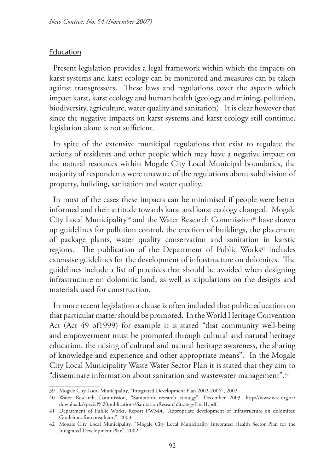#### Education

Present legislation provides a legal framework within which the impacts on karst systems and karst ecology can be monitored and measures can be taken against transgressors. These laws and regulations cover the aspects which impact karst, karst ecology and human health (geology and mining, pollution, biodiversity, agriculture, water quality and sanitation). It is clear however that since the negative impacts on karst systems and karst ecology still continue, legislation alone is not sufficient.

In spite of the extensive municipal regulations that exist to regulate the actions of residents and other people which may have a negative impact on the natural resources within Mogale City Local Municipal boundaries, the majority of respondents were unaware of the regulations about subdivision of property, building, sanitation and water quality.

In most of the cases these impacts can be minimised if people were better informed and their attitude towards karst and karst ecology changed. Mogale City Local Municipality<sup>39</sup> and the Water Research Commission<sup>40</sup> have drawn up guidelines for pollution control, the erection of buildings, the placement of package plants, water quality conservation and sanitation in karstic regions. The publication of the Department of Public Works<sup>41</sup> includes extensive guidelines for the development of infrastructure on dolomites. The guidelines include a list of practices that should be avoided when designing infrastructure on dolomitic land, as well as stipulations on the designs and materials used for construction.

In more recent legislation a clause is often included that public education on that particular matter should be promoted. In the World Heritage Convention Act (Act 49 of1999) for example it is stated "that community well-being and empowerment must be promoted through cultural and natural heritage education, the raising of cultural and natural heritage awareness, the sharing of knowledge and experience and other appropriate means". In the Mogale City Local Municipality Waste Water Sector Plan it is stated that they aim to "disseminate information about sanitation and wastewater management".<sup>42</sup>

<sup>39</sup> Mogale City Local Municipality, "Integrated Development Plan 2002-2006", 2002.

<sup>40</sup> Water Research Commission, "Sanitation research strategy", December 2003. http://www.wrc.org.za/ downloads/special%20publications/SanitationResearchStrategyFinal1.pdf.

<sup>41</sup> Department of Public Works, Report PW344, "Appropriate development of infrastructure on dolomites: Guidelines for consultants", 2003*.*

<sup>42</sup> Mogale City Local Municipality, "Mogale City Local Municipality Integrated Health Sector Plan for the Integrated Development Plan", 2002.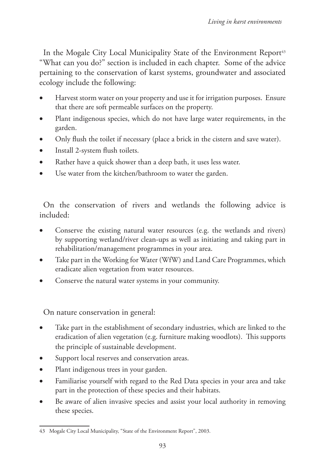In the Mogale City Local Municipality State of the Environment Report<sup>43</sup> "What can you do?" section is included in each chapter. Some of the advice pertaining to the conservation of karst systems, groundwater and associated ecology include the following:

- Harvest storm water on your property and use it for irrigation purposes. Ensure that there are soft permeable surfaces on the property.
- Plant indigenous species, which do not have large water requirements, in the garden.
- Only flush the toilet if necessary (place a brick in the cistern and save water).
- Install 2-system flush toilets.
- Rather have a quick shower than a deep bath, it uses less water.
- Use water from the kitchen/bathroom to water the garden.

On the conservation of rivers and wetlands the following advice is included:

- Conserve the existing natural water resources (e.g. the wetlands and rivers) by supporting wetland/river clean-ups as well as initiating and taking part in rehabilitation/management programmes in your area.
- Take part in the Working for Water (WfW) and Land Care Programmes, which eradicate alien vegetation from water resources.
- Conserve the natural water systems in your community.

On nature conservation in general:

- Take part in the establishment of secondary industries, which are linked to the eradication of alien vegetation (e.g. furniture making woodlots). This supports the principle of sustainable development.
- Support local reserves and conservation areas.
- Plant indigenous trees in your garden.
- Familiarise yourself with regard to the Red Data species in your area and take part in the protection of these species and their habitats.
- Be aware of alien invasive species and assist your local authority in removing these species.

<sup>43</sup> Mogale City Local Municipality, "State of the Environment Report", 2003.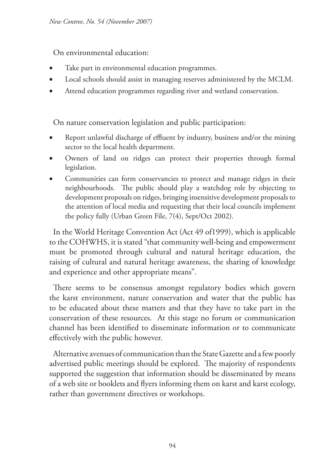On environmental education:

- Take part in environmental education programmes.
- Local schools should assist in managing reserves administered by the MCLM.
- Attend education programmes regarding river and wetland conservation.

On nature conservation legislation and public participation:

- Report unlawful discharge of effluent by industry, business and/or the mining sector to the local health department.
- Owners of land on ridges can protect their properties through formal legislation.
- Communities can form conservancies to protect and manage ridges in their neighbourhoods. The public should play a watchdog role by objecting to development proposals on ridges, bringing insensitive development proposals to the attention of local media and requesting that their local councils implement the policy fully (Urban Green File, 7(4), Sept/Oct 2002).

In the World Heritage Convention Act (Act 49 of1999), which is applicable to the COHWHS, it is stated "that community well-being and empowerment must be promoted through cultural and natural heritage education, the raising of cultural and natural heritage awareness, the sharing of knowledge and experience and other appropriate means".

There seems to be consensus amongst regulatory bodies which govern the karst environment, nature conservation and water that the public has to be educated about these matters and that they have to take part in the conservation of these resources. At this stage no forum or communication channel has been identified to disseminate information or to communicate effectively with the public however.

Alternative avenues of communication than the State Gazette and a few poorly advertised public meetings should be explored. The majority of respondents supported the suggestion that information should be disseminated by means of a web site or booklets and flyers informing them on karst and karst ecology, rather than government directives or workshops.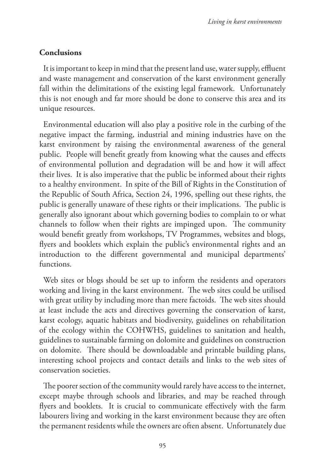## **Conclusions**

It is important to keep in mind that the present land use, water supply, effluent and waste management and conservation of the karst environment generally fall within the delimitations of the existing legal framework. Unfortunately this is not enough and far more should be done to conserve this area and its unique resources.

Environmental education will also play a positive role in the curbing of the negative impact the farming, industrial and mining industries have on the karst environment by raising the environmental awareness of the general public. People will benefit greatly from knowing what the causes and effects of environmental pollution and degradation will be and how it will affect their lives. It is also imperative that the public be informed about their rights to a healthy environment. In spite of the Bill of Rights in the Constitution of the Republic of South Africa, Section 24, 1996, spelling out these rights, the public is generally unaware of these rights or their implications. The public is generally also ignorant about which governing bodies to complain to or what channels to follow when their rights are impinged upon. The community would benefit greatly from workshops, TV Programmes, websites and blogs, flyers and booklets which explain the public's environmental rights and an introduction to the different governmental and municipal departments' functions.

Web sites or blogs should be set up to inform the residents and operators working and living in the karst environment. The web sites could be utilised with great utility by including more than mere factoids. The web sites should at least include the acts and directives governing the conservation of karst, karst ecology, aquatic habitats and biodiversity, guidelines on rehabilitation of the ecology within the COHWHS, guidelines to sanitation and health, guidelines to sustainable farming on dolomite and guidelines on construction on dolomite. There should be downloadable and printable building plans, interesting school projects and contact details and links to the web sites of conservation societies.

The poorer section of the community would rarely have access to the internet, except maybe through schools and libraries, and may be reached through flyers and booklets. It is crucial to communicate effectively with the farm labourers living and working in the karst environment because they are often the permanent residents while the owners are often absent. Unfortunately due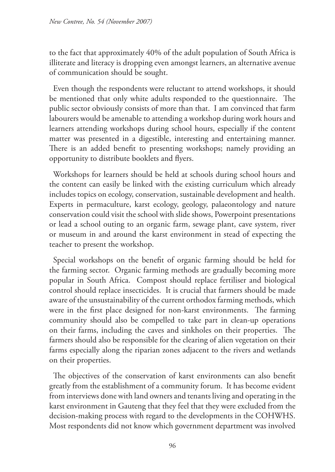to the fact that approximately 40% of the adult population of South Africa is illiterate and literacy is dropping even amongst learners, an alternative avenue of communication should be sought.

Even though the respondents were reluctant to attend workshops, it should be mentioned that only white adults responded to the questionnaire. The public sector obviously consists of more than that. I am convinced that farm labourers would be amenable to attending a workshop during work hours and learners attending workshops during school hours, especially if the content matter was presented in a digestible, interesting and entertaining manner. There is an added benefit to presenting workshops; namely providing an opportunity to distribute booklets and flyers.

Workshops for learners should be held at schools during school hours and the content can easily be linked with the existing curriculum which already includes topics on ecology, conservation, sustainable development and health. Experts in permaculture, karst ecology, geology, palaeontology and nature conservation could visit the school with slide shows, Powerpoint presentations or lead a school outing to an organic farm, sewage plant, cave system, river or museum in and around the karst environment in stead of expecting the teacher to present the workshop.

Special workshops on the benefit of organic farming should be held for the farming sector. Organic farming methods are gradually becoming more popular in South Africa. Compost should replace fertiliser and biological control should replace insecticides. It is crucial that farmers should be made aware of the unsustainability of the current orthodox farming methods, which were in the first place designed for non-karst environments. The farming community should also be compelled to take part in clean-up operations on their farms, including the caves and sinkholes on their properties. The farmers should also be responsible for the clearing of alien vegetation on their farms especially along the riparian zones adjacent to the rivers and wetlands on their properties.

The objectives of the conservation of karst environments can also benefit greatly from the establishment of a community forum. It has become evident from interviews done with land owners and tenants living and operating in the karst environment in Gauteng that they feel that they were excluded from the decision-making process with regard to the developments in the COHWHS. Most respondents did not know which government department was involved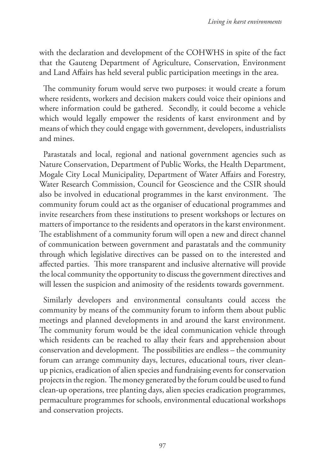with the declaration and development of the COHWHS in spite of the fact that the Gauteng Department of Agriculture, Conservation, Environment and Land Affairs has held several public participation meetings in the area.

The community forum would serve two purposes: it would create a forum where residents, workers and decision makers could voice their opinions and where information could be gathered. Secondly, it could become a vehicle which would legally empower the residents of karst environment and by means of which they could engage with government, developers, industrialists and mines.

Parastatals and local, regional and national government agencies such as Nature Conservation, Department of Public Works, the Health Department, Mogale City Local Municipality, Department of Water Affairs and Forestry, Water Research Commission, Council for Geoscience and the CSIR should also be involved in educational programmes in the karst environment. The community forum could act as the organiser of educational programmes and invite researchers from these institutions to present workshops or lectures on matters of importance to the residents and operators in the karst environment. The establishment of a community forum will open a new and direct channel of communication between government and parastatals and the community through which legislative directives can be passed on to the interested and affected parties. This more transparent and inclusive alternative will provide the local community the opportunity to discuss the government directives and will lessen the suspicion and animosity of the residents towards government.

Similarly developers and environmental consultants could access the community by means of the community forum to inform them about public meetings and planned developments in and around the karst environment. The community forum would be the ideal communication vehicle through which residents can be reached to allay their fears and apprehension about conservation and development. The possibilities are endless – the community forum can arrange community days, lectures, educational tours, river cleanup picnics, eradication of alien species and fundraising events for conservation projects in the region. The money generated by the forum could be used to fund clean-up operations, tree planting days, alien species eradication programmes, permaculture programmes for schools, environmental educational workshops and conservation projects.